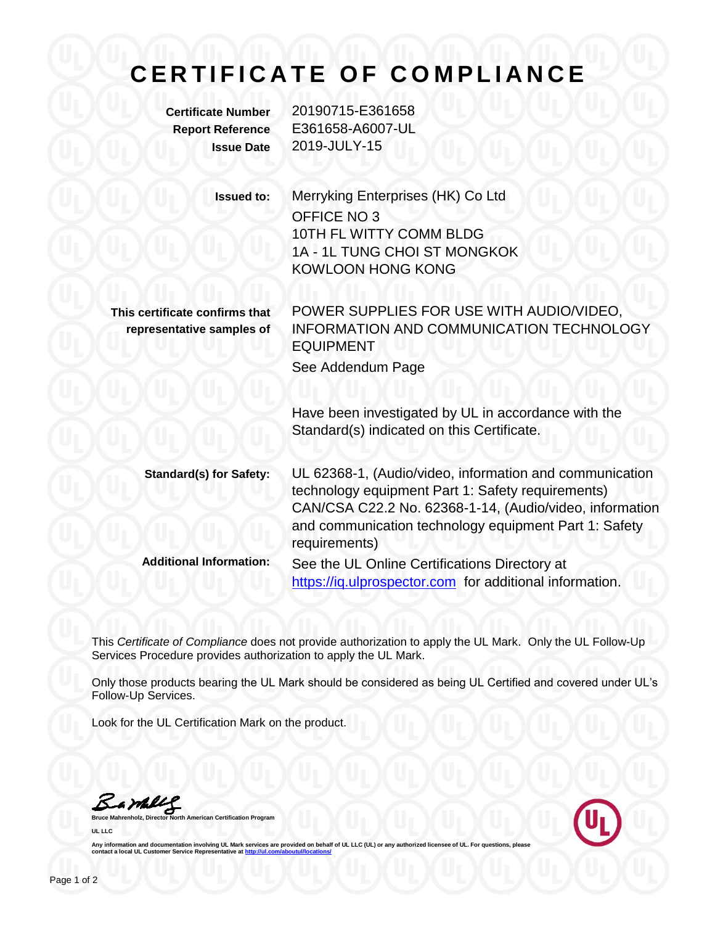## **CERTIFICATE OF COMPLIANCE**

**Certificate Number** 20190715-E361658 **Report Reference** E361658-A6007-UL **Issue Date** 2019-JULY-15

| <b>Issued to:</b>                                           | Merryking Enterprises (HK) Co Ltd<br>OFFICE NO 3<br>10TH FL WITTY COMM BLDG<br>1A - 1L TUNG CHOI ST MONGKOK<br><b>KOWLOON HONG KONG</b>                                                                                                           |
|-------------------------------------------------------------|---------------------------------------------------------------------------------------------------------------------------------------------------------------------------------------------------------------------------------------------------|
| This certificate confirms that<br>representative samples of | POWER SUPPLIES FOR USE WITH AUDIO/VIDEO,<br><b>INFORMATION AND COMMUNICATION TECHNOLOGY</b><br><b>EQUIPMENT</b><br>See Addendum Page                                                                                                              |
|                                                             | Have been investigated by UL in accordance with the<br>Standard(s) indicated on this Certificate.                                                                                                                                                 |
| <b>Standard(s) for Safety:</b>                              | UL 62368-1, (Audio/video, information and communication<br>technology equipment Part 1: Safety requirements)<br>CAN/CSA C22.2 No. 62368-1-14, (Audio/video, information<br>and communication technology equipment Part 1: Safety<br>requirements) |
| <b>Additional Information:</b>                              | See the UL Online Certifications Directory at<br>https://iq.ulprospector.com for additional information.                                                                                                                                          |

This *Certificate of Compliance* does not provide authorization to apply the UL Mark. Only the UL Follow-Up Services Procedure provides authorization to apply the UL Mark.

Only those products bearing the UL Mark should be considered as being UL Certified and covered under UL's Follow-Up Services.

Look for the UL Certification Mark on the product.

Barney

**Bruce Mahrenholz, Director North American Certification Program UL LLC**



Any information and documentation involving UL Mark services are provided on behalf of UL LLC (UL) or any authorized licensee of UL. For questions, please<br>contact a local UL Customer Service Representative at <u>http://ul.co</u>